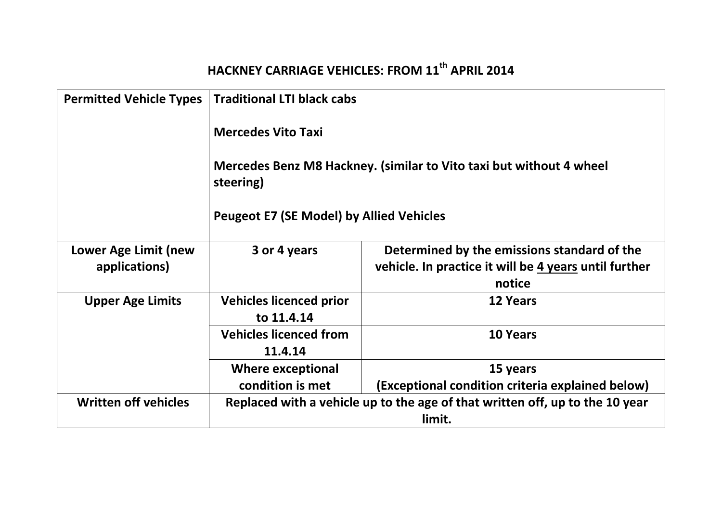## **HACKNEY CARRIAGE VEHICLES: FROM 11th APRIL 2014**

| <b>Permitted Vehicle Types</b>        | <b>Traditional LTI black cabs</b>                                                      |                                                                                                                |
|---------------------------------------|----------------------------------------------------------------------------------------|----------------------------------------------------------------------------------------------------------------|
|                                       | <b>Mercedes Vito Taxi</b>                                                              |                                                                                                                |
|                                       | Mercedes Benz M8 Hackney. (similar to Vito taxi but without 4 wheel<br>steering)       |                                                                                                                |
|                                       | <b>Peugeot E7 (SE Model) by Allied Vehicles</b>                                        |                                                                                                                |
| Lower Age Limit (new<br>applications) | 3 or 4 years                                                                           | Determined by the emissions standard of the<br>vehicle. In practice it will be 4 years until further<br>notice |
| <b>Upper Age Limits</b>               | <b>Vehicles licenced prior</b><br>to 11.4.14                                           | <b>12 Years</b>                                                                                                |
|                                       | <b>Vehicles licenced from</b><br>11.4.14                                               | <b>10 Years</b>                                                                                                |
|                                       | <b>Where exceptional</b>                                                               | 15 years                                                                                                       |
|                                       | condition is met                                                                       | (Exceptional condition criteria explained below)                                                               |
| <b>Written off vehicles</b>           | Replaced with a vehicle up to the age of that written off, up to the 10 year<br>limit. |                                                                                                                |